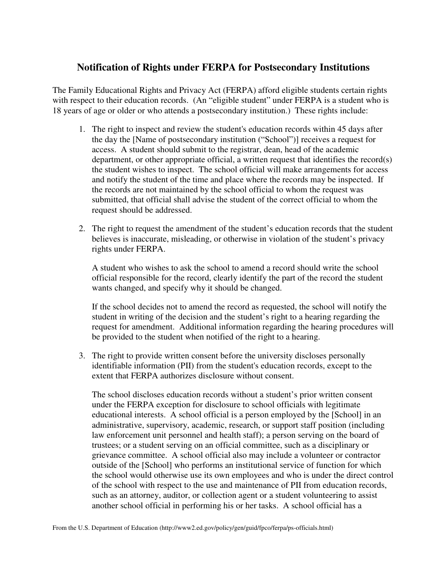## **Notification of Rights under FERPA for Postsecondary Institutions**

The Family Educational Rights and Privacy Act (FERPA) afford eligible students certain rights with respect to their education records. (An "eligible student" under FERPA is a student who is 18 years of age or older or who attends a postsecondary institution.) These rights include:

- 1. The right to inspect and review the student's education records within 45 days after the day the [Name of postsecondary institution ("School")] receives a request for access. A student should submit to the registrar, dean, head of the academic department, or other appropriate official, a written request that identifies the record(s) the student wishes to inspect. The school official will make arrangements for access and notify the student of the time and place where the records may be inspected. If the records are not maintained by the school official to whom the request was submitted, that official shall advise the student of the correct official to whom the request should be addressed.
- 2. The right to request the amendment of the student's education records that the student believes is inaccurate, misleading, or otherwise in violation of the student's privacy rights under FERPA.

A student who wishes to ask the school to amend a record should write the school official responsible for the record, clearly identify the part of the record the student wants changed, and specify why it should be changed.

If the school decides not to amend the record as requested, the school will notify the student in writing of the decision and the student's right to a hearing regarding the request for amendment. Additional information regarding the hearing procedures will be provided to the student when notified of the right to a hearing.

3. The right to provide written consent before the university discloses personally identifiable information (PII) from the student's education records, except to the extent that FERPA authorizes disclosure without consent.

The school discloses education records without a student's prior written consent under the FERPA exception for disclosure to school officials with legitimate educational interests. A school official is a person employed by the [School] in an administrative, supervisory, academic, research, or support staff position (including law enforcement unit personnel and health staff); a person serving on the board of trustees; or a student serving on an official committee, such as a disciplinary or grievance committee. A school official also may include a volunteer or contractor outside of the [School] who performs an institutional service of function for which the school would otherwise use its own employees and who is under the direct control of the school with respect to the use and maintenance of PII from education records, such as an attorney, auditor, or collection agent or a student volunteering to assist another school official in performing his or her tasks. A school official has a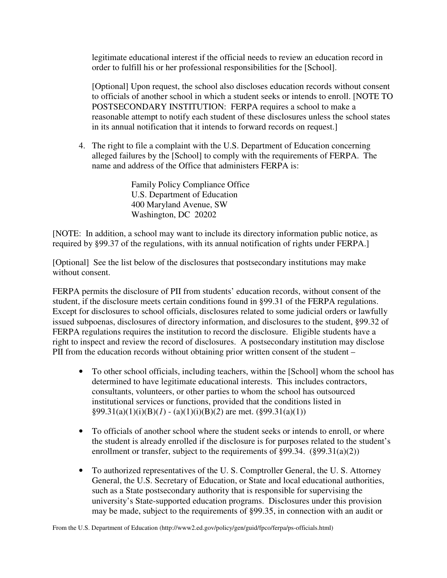legitimate educational interest if the official needs to review an education record in order to fulfill his or her professional responsibilities for the [School].

[Optional] Upon request, the school also discloses education records without consent to officials of another school in which a student seeks or intends to enroll. [NOTE TO POSTSECONDARY INSTITUTION: FERPA requires a school to make a reasonable attempt to notify each student of these disclosures unless the school states in its annual notification that it intends to forward records on request.]

4. The right to file a complaint with the U.S. Department of Education concerning alleged failures by the [School] to comply with the requirements of FERPA. The name and address of the Office that administers FERPA is:

> Family Policy Compliance Office U.S. Department of Education 400 Maryland Avenue, SW Washington, DC 20202

[NOTE: In addition, a school may want to include its directory information public notice, as required by §99.37 of the regulations, with its annual notification of rights under FERPA.]

[Optional] See the list below of the disclosures that postsecondary institutions may make without consent.

FERPA permits the disclosure of PII from students' education records, without consent of the student, if the disclosure meets certain conditions found in §99.31 of the FERPA regulations. Except for disclosures to school officials, disclosures related to some judicial orders or lawfully issued subpoenas, disclosures of directory information, and disclosures to the student, §99.32 of FERPA regulations requires the institution to record the disclosure. Eligible students have a right to inspect and review the record of disclosures. A postsecondary institution may disclose PII from the education records without obtaining prior written consent of the student –

- To other school officials, including teachers, within the [School] whom the school has determined to have legitimate educational interests. This includes contractors, consultants, volunteers, or other parties to whom the school has outsourced institutional services or functions, provided that the conditions listed in §99.31(a)(1)(i)(B)(*1*) - (a)(1)(i)(B)(*2*) are met. (§99.31(a)(1))
- To officials of another school where the student seeks or intends to enroll, or where the student is already enrolled if the disclosure is for purposes related to the student's enrollment or transfer, subject to the requirements of §99.34. (§99.31(a)(2))
- To authorized representatives of the U. S. Comptroller General, the U. S. Attorney General, the U.S. Secretary of Education, or State and local educational authorities, such as a State postsecondary authority that is responsible for supervising the university's State-supported education programs. Disclosures under this provision may be made, subject to the requirements of §99.35, in connection with an audit or